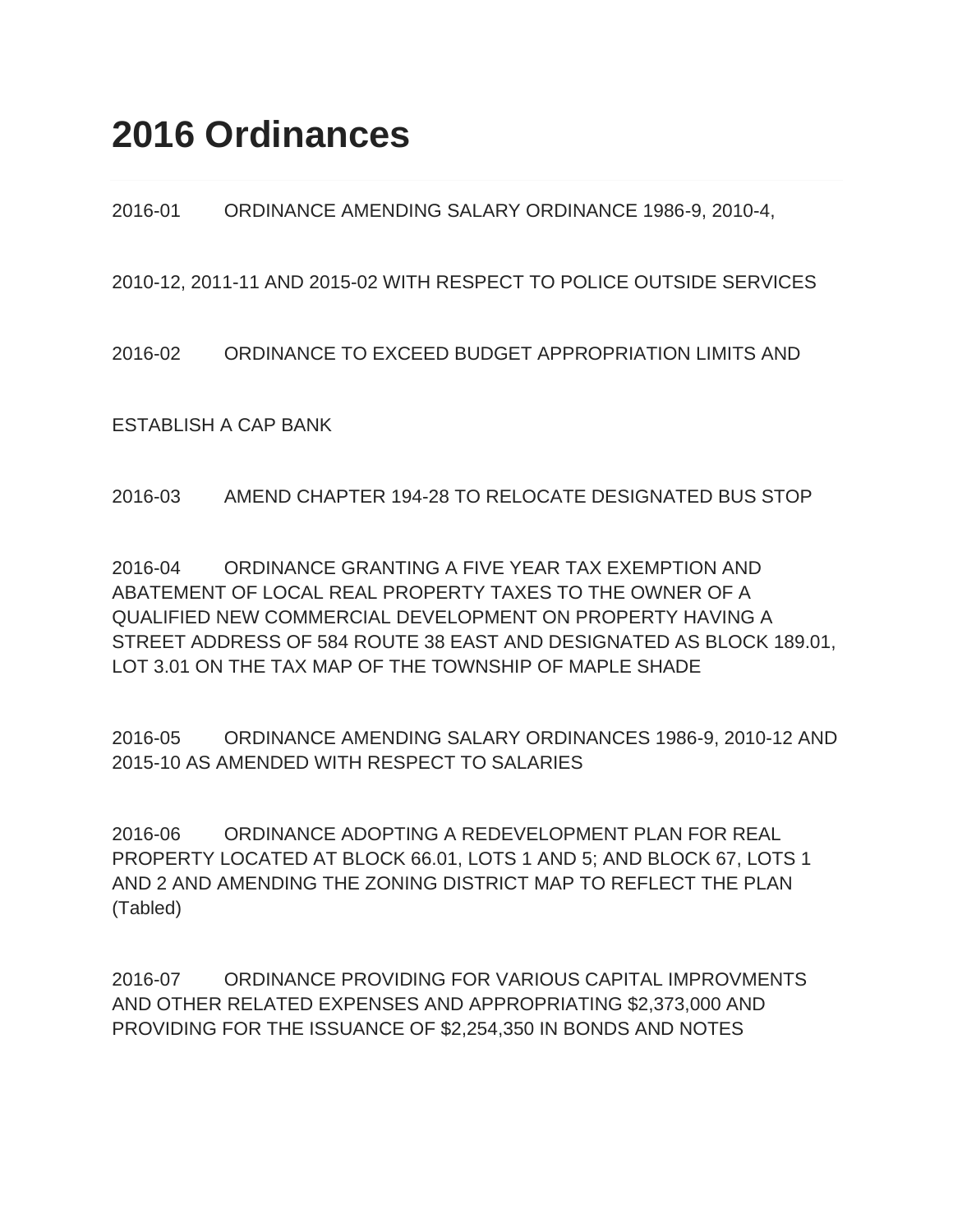2016-01 ORDINANCE AMENDING SALARY ORDINANCE 1986-9, 2010-4,

2010-12, 2011-11 AND 2015-02 WITH RESPECT TO POLICE OUTSIDE SERVICES

2016-02 ORDINANCE TO EXCEED BUDGET APPROPRIATION LIMITS AND

ESTABLISH A CAP BANK

2016-03 AMEND CHAPTER 194-28 TO RELOCATE DESIGNATED BUS STOP

2016-04 ORDINANCE GRANTING A FIVE YEAR TAX EXEMPTION AND ABATEMENT OF LOCAL REAL PROPERTY TAXES TO THE OWNER OF A QUALIFIED NEW COMMERCIAL DEVELOPMENT ON PROPERTY HAVING A STREET ADDRESS OF 584 ROUTE 38 EAST AND DESIGNATED AS BLOCK 189.01, LOT 3.01 ON THE TAX MAP OF THE TOWNSHIP OF MAPLE SHADE

2016-05 ORDINANCE AMENDING SALARY ORDINANCES 1986-9, 2010-12 AND 2015-10 AS AMENDED WITH RESPECT TO SALARIES

2016-06 ORDINANCE ADOPTING A REDEVELOPMENT PLAN FOR REAL PROPERTY LOCATED AT BLOCK 66.01, LOTS 1 AND 5; AND BLOCK 67, LOTS 1 AND 2 AND AMENDING THE ZONING DISTRICT MAP TO REFLECT THE PLAN (Tabled)

2016-07 ORDINANCE PROVIDING FOR VARIOUS CAPITAL IMPROVMENTS AND OTHER RELATED EXPENSES AND APPROPRIATING \$2,373,000 AND PROVIDING FOR THE ISSUANCE OF \$2,254,350 IN BONDS AND NOTES